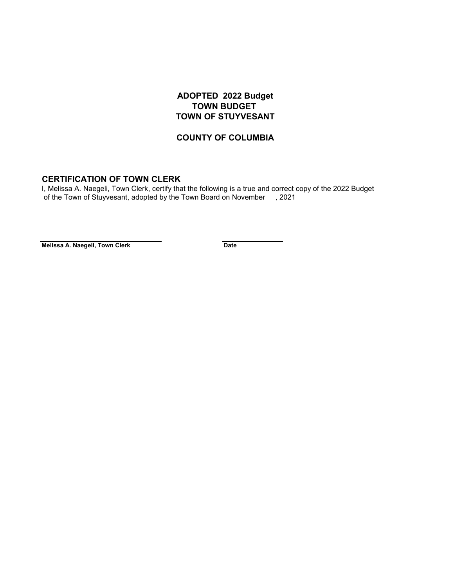## **ADOPTED 2022 Budget TOWN BUDGET TOWN OF STUYVESANT**

## **COUNTY OF COLUMBIA**

## **CERTIFICATION OF TOWN CLERK**

 of the Town of Stuyvesant, adopted by the Town Board on November , 2021 I, Melissa A. Naegeli, Town Clerk, certify that the following is a true and correct copy of the 2022 Budget

**Melissa A. Naegeli, Town Clerk Date**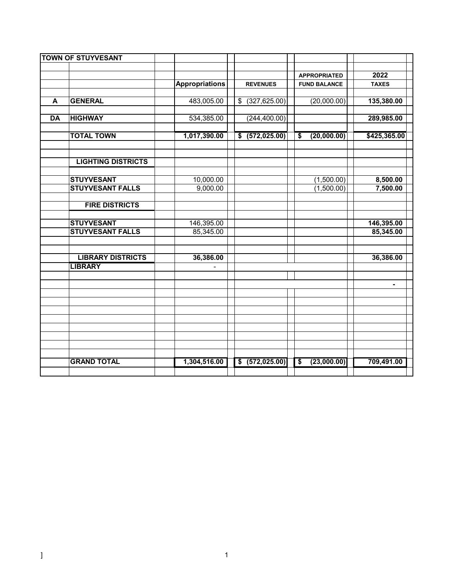|           | <b>TOWN OF STUYVESANT</b> |                       |                  |                     |              |
|-----------|---------------------------|-----------------------|------------------|---------------------|--------------|
|           |                           |                       |                  |                     |              |
|           |                           |                       |                  | <b>APPROPRIATED</b> | 2022         |
|           |                           | <b>Appropriations</b> | <b>REVENUES</b>  | <b>FUND BALANCE</b> | <b>TAXES</b> |
|           |                           |                       |                  |                     |              |
| A         | <b>GENERAL</b>            | 483,005.00            | $$$ (327,625.00) | (20,000.00)         | 135,380.00   |
|           |                           |                       |                  |                     |              |
| <b>DA</b> | <b>HIGHWAY</b>            | 534,385.00            | (244, 400.00)    |                     | 289,985.00   |
|           | <b>TOTAL TOWN</b>         | 1,017,390.00          | \$ (572,025.00)  | (20,000.00)<br>\$   | \$425,365.00 |
|           |                           |                       |                  |                     |              |
|           |                           |                       |                  |                     |              |
|           | <b>LIGHTING DISTRICTS</b> |                       |                  |                     |              |
|           |                           |                       |                  |                     |              |
|           | <b>STUYVESANT</b>         | 10,000.00             |                  | (1,500.00)          | 8,500.00     |
|           | <b>STUYVESANT FALLS</b>   | 9,000.00              |                  | (1,500.00)          | 7,500.00     |
|           |                           |                       |                  |                     |              |
|           | <b>FIRE DISTRICTS</b>     |                       |                  |                     |              |
|           |                           |                       |                  |                     |              |
|           | <b>STUYVESANT</b>         | 146,395.00            |                  |                     | 146,395.00   |
|           | <b>STUYVESANT FALLS</b>   | 85,345.00             |                  |                     | 85,345.00    |
|           |                           |                       |                  |                     |              |
|           | <b>LIBRARY DISTRICTS</b>  | 36,386.00             |                  |                     | 36,386.00    |
|           | <b>LIBRARY</b>            |                       |                  |                     |              |
|           |                           |                       |                  |                     |              |
|           |                           |                       |                  |                     |              |
|           |                           |                       |                  |                     |              |
|           |                           |                       |                  |                     |              |
|           |                           |                       |                  |                     |              |
|           |                           |                       |                  |                     |              |
|           |                           |                       |                  |                     |              |
|           |                           |                       |                  |                     |              |
|           |                           |                       |                  |                     |              |
|           |                           |                       |                  |                     |              |
|           | <b>GRAND TOTAL</b>        | 1,304,516.00          | \$ (572, 025.00) | (23,000.00)<br>\$   | 709,491.00   |
|           |                           |                       |                  |                     |              |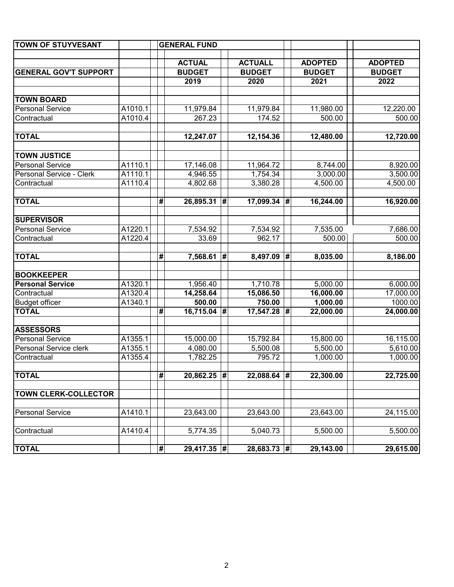| <b>TOWN OF STUYVESANT</b>    |         |                             | <b>GENERAL FUND</b> |   |                |   |                |                |
|------------------------------|---------|-----------------------------|---------------------|---|----------------|---|----------------|----------------|
|                              |         |                             |                     |   |                |   |                |                |
|                              |         |                             | <b>ACTUAL</b>       |   | <b>ACTUALL</b> |   | <b>ADOPTED</b> | <b>ADOPTED</b> |
| <b>GENERAL GOV'T SUPPORT</b> |         |                             | <b>BUDGET</b>       |   | <b>BUDGET</b>  |   | <b>BUDGET</b>  | <b>BUDGET</b>  |
|                              |         |                             | 2019                |   | 2020           |   | 2021           | 2022           |
|                              |         |                             |                     |   |                |   |                |                |
| <b>TOWN BOARD</b>            |         |                             |                     |   |                |   |                |                |
| <b>Personal Service</b>      | A1010.1 |                             | 11,979.84           |   | 11,979.84      |   | 11,980.00      | 12,220.00      |
| Contractual                  | A1010.4 |                             | 267.23              |   | 174.52         |   | 500.00         | 500.00         |
| <b>TOTAL</b>                 |         |                             | 12,247.07           |   | 12,154.36      |   | 12,480.00      | 12,720.00      |
| <b>TOWN JUSTICE</b>          |         |                             |                     |   |                |   |                |                |
| <b>Personal Service</b>      | A1110.1 |                             | 17,146.08           |   | 11,964.72      |   | 8,744.00       | 8,920.00       |
| Personal Service - Clerk     | A1110.1 |                             | 4,946.55            |   | 1,754.34       |   | 3,000.00       | 3,500.00       |
| Contractual                  | A1110.4 |                             | 4,802.68            |   | 3,380.28       |   | 4,500.00       | 4,500.00       |
|                              |         |                             |                     |   |                |   |                |                |
| <b>TOTAL</b>                 |         | $\overline{\boldsymbol{H}}$ | 26,895.31 #         |   | $17,099.34$ #  |   | 16,244.00      | 16,920.00      |
|                              |         |                             |                     |   |                |   |                |                |
| <b>SUPERVISOR</b>            |         |                             |                     |   |                |   |                |                |
| Personal Service             | A1220.1 |                             | 7,534.92            |   | 7,534.92       |   | 7,535.00       | 7,686.00       |
| Contractual                  | A1220.4 |                             | 33.69               |   | 962.17         |   | 500.00         | 500.00         |
| <b>TOTAL</b>                 |         | #                           | 7,568.61            | # | 8,497.09       | # | 8,035.00       | 8,186.00       |
| <b>BOOKKEEPER</b>            |         |                             |                     |   |                |   |                |                |
| <b>Personal Service</b>      | A1320.1 |                             | 1,956.40            |   | 1,710.78       |   | 5,000.00       | 6,000.00       |
| Contractual                  | A1320.4 |                             | 14,258.64           |   | 15,086.50      |   | 16,000.00      | 17,000.00      |
| <b>Budget officer</b>        | A1340.1 |                             | 500.00              |   | 750.00         |   | 1,000.00       | 1000.00        |
| <b>TOTAL</b>                 |         | $\overline{\mathbf{t}}$     | $16,715.04$ #       |   | 17,547.28 #    |   | 22,000.00      | 24,000.00      |
| <b>ASSESSORS</b>             |         |                             |                     |   |                |   |                |                |
| <b>Personal Service</b>      | A1355.1 |                             | 15,000.00           |   | 15,792.84      |   | 15,800.00      | 16,115.00      |
| Personal Service clerk       | A1355.1 |                             | 4,080.00            |   | 5,500.08       |   | 5,500.00       | 5,610.00       |
| Contractual                  | A1355.4 |                             | 1,782.25            |   | 795.72         |   | 1,000.00       | 1,000.00       |
| <b>TOTAL</b>                 |         | #                           | $20,862.25$ #       |   | $22,088.64$ #  |   | 22,300.00      | 22,725.00      |
|                              |         |                             |                     |   |                |   |                |                |
| <b>TOWN CLERK-COLLECTOR</b>  |         |                             |                     |   |                |   |                |                |
| <b>Personal Service</b>      | A1410.1 |                             | 23,643.00           |   | 23,643.00      |   | 23,643.00      | 24,115.00      |
| Contractual                  | A1410.4 |                             | 5,774.35            |   | 5,040.73       |   | 5,500.00       | 5,500.00       |
| <b>TOTAL</b>                 |         | $\pmb{\#}$                  | 29,417.35 #         |   | $28,683.73$ #  |   | 29,143.00      | 29,615.00      |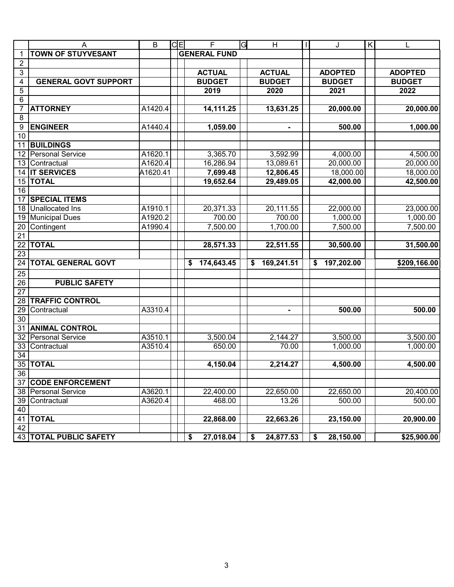|                 | Α                           | $\overline{B}$ | $C \vert E \vert$ | F                   | G | H               | $\mathbf{I}$ | J                | $\mathsf{K}$ |                |
|-----------------|-----------------------------|----------------|-------------------|---------------------|---|-----------------|--------------|------------------|--------------|----------------|
| 1               | <b>TOWN OF STUYVESANT</b>   |                |                   | <b>GENERAL FUND</b> |   |                 |              |                  |              |                |
| $\overline{2}$  |                             |                |                   |                     |   |                 |              |                  |              |                |
| 3               |                             |                |                   | <b>ACTUAL</b>       |   | <b>ACTUAL</b>   |              | <b>ADOPTED</b>   |              | <b>ADOPTED</b> |
| 4               | <b>GENERAL GOVT SUPPORT</b> |                |                   | <b>BUDGET</b>       |   | <b>BUDGET</b>   |              | <b>BUDGET</b>    |              | <b>BUDGET</b>  |
| 5               |                             |                |                   | 2019                |   | 2020            |              | 2021             |              | 2022           |
| 6               |                             |                |                   |                     |   |                 |              |                  |              |                |
| 7               | <b>ATTORNEY</b>             | A1420.4        |                   | 14,111.25           |   | 13,631.25       |              | 20,000.00        |              | 20,000.00      |
| 8               |                             |                |                   |                     |   |                 |              |                  |              |                |
| 9               | <b>ENGINEER</b>             | A1440.4        |                   | 1,059.00            |   |                 |              | 500.00           |              | 1,000.00       |
| $\overline{10}$ |                             |                |                   |                     |   |                 |              |                  |              |                |
| 11              | <b>BUILDINGS</b>            |                |                   |                     |   |                 |              |                  |              |                |
| 12              | <b>Personal Service</b>     | A1620.1        |                   | 3,365.70            |   | 3,592.99        |              | 4,000.00         |              | 4,500.00       |
| 13              | Contractual                 | A1620.4        |                   | 16,286.94           |   | 13,089.61       |              | 20,000.00        |              | 20,000.00      |
| 14              | <b>IT SERVICES</b>          | A1620.41       |                   | 7,699.48            |   | 12,806.45       |              | 18,000.00        |              | 18,000.00      |
| 15              | <b>TOTAL</b>                |                |                   | 19,652.64           |   | 29,489.05       |              | 42,000.00        |              | 42,500.00      |
| $\overline{16}$ |                             |                |                   |                     |   |                 |              |                  |              |                |
| 17              | <b>SPECIAL ITEMS</b>        |                |                   |                     |   |                 |              |                  |              |                |
| 18              | Unallocated Ins             | A1910.1        |                   | 20,371.33           |   | 20,111.55       |              | 22,000.00        |              | 23,000.00      |
| 19              | <b>Municipal Dues</b>       | A1920.2        |                   | 700.00              |   | 700.00          |              | 1,000.00         |              | 1,000.00       |
| 20              | Contingent                  | A1990.4        |                   | 7,500.00            |   | 1,700.00        |              | 7,500.00         |              | 7,500.00       |
| $\overline{21}$ |                             |                |                   |                     |   |                 |              |                  |              |                |
| 22              | <b>TOTAL</b>                |                |                   | 28,571.33           |   | 22,511.55       |              | 30,500.00        |              | 31,500.00      |
| $\overline{23}$ |                             |                |                   |                     |   |                 |              |                  |              |                |
| $\overline{24}$ | <b>TOTAL GENERAL GOVT</b>   |                |                   | 174,643.45<br>\$    |   | 169,241.51<br>S |              | 197,202.00<br>\$ |              | \$209,166.00   |
| 25              |                             |                |                   |                     |   |                 |              |                  |              |                |
| 26              | <b>PUBLIC SAFETY</b>        |                |                   |                     |   |                 |              |                  |              |                |
| $\overline{27}$ |                             |                |                   |                     |   |                 |              |                  |              |                |
| 28              | <b>TRAFFIC CONTROL</b>      |                |                   |                     |   |                 |              |                  |              |                |
| 29              | Contractual                 | A3310.4        |                   |                     |   |                 |              | 500.00           |              | 500.00         |
| 30              |                             |                |                   |                     |   |                 |              |                  |              |                |
| 31              | <b>ANIMAL CONTROL</b>       |                |                   |                     |   |                 |              |                  |              |                |
| $\overline{32}$ | <b>Personal Service</b>     | A3510.1        |                   | 3,500.04            |   | 2,144.27        |              | 3,500.00         |              | 3,500.00       |
| 33              | Contractual                 | A3510.4        |                   | 650.00              |   | 70.00           |              | 1,000.00         |              | 1,000.00       |
| 34              |                             |                |                   |                     |   |                 |              |                  |              |                |
|                 | 35 TOTAL                    |                |                   | 4,150.04            |   | 2,214.27        |              | 4,500.00         |              | 4,500.00       |
| 36              |                             |                |                   |                     |   |                 |              |                  |              |                |
| 37              | <b>CODE ENFORCEMENT</b>     |                |                   |                     |   |                 |              |                  |              |                |
| 38              | <b>Personal Service</b>     | A3620.1        |                   | 22,400.00           |   | 22,650.00       |              | 22,650.00        |              | 20,400.00      |
| 39              | Contractual                 | A3620.4        |                   | 468.00              |   | 13.26           |              | 500.00           |              | 500.00         |
| 40              |                             |                |                   |                     |   |                 |              |                  |              |                |
| 41              | <b>TOTAL</b>                |                |                   | 22,868.00           |   | 22,663.26       |              | 23,150.00        |              | 20,900.00      |
| 42              |                             |                |                   |                     |   |                 |              |                  |              |                |
|                 | 43   TOTAL PUBLIC SAFETY    |                |                   | 27,018.04<br>\$     |   | 24,877.53<br>\$ |              | 28,150.00<br>\$  |              | \$25,900.00    |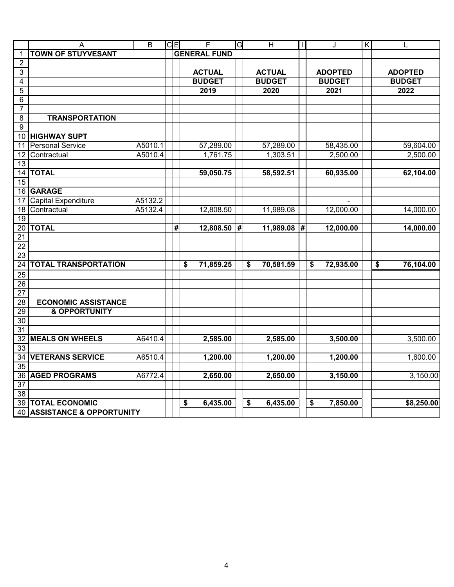|                 | A                           | $\overline{B}$ | $C \overline{E}$ | $\overline{F}$      | G | $\overline{H}$  | $\mathbf{I}$ | J               | $\overline{\mathsf{K}}$ |                 |
|-----------------|-----------------------------|----------------|------------------|---------------------|---|-----------------|--------------|-----------------|-------------------------|-----------------|
| $\mathbf{1}$    | <b>TOWN OF STUYVESANT</b>   |                |                  | <b>GENERAL FUND</b> |   |                 |              |                 |                         |                 |
| $\overline{2}$  |                             |                |                  |                     |   |                 |              |                 |                         |                 |
| 3               |                             |                |                  | <b>ACTUAL</b>       |   | <b>ACTUAL</b>   |              | <b>ADOPTED</b>  |                         | <b>ADOPTED</b>  |
| 4               |                             |                |                  | <b>BUDGET</b>       |   | <b>BUDGET</b>   |              | <b>BUDGET</b>   |                         | <b>BUDGET</b>   |
| $\overline{5}$  |                             |                |                  | 2019                |   | 2020            |              | 2021            |                         | 2022            |
| 6               |                             |                |                  |                     |   |                 |              |                 |                         |                 |
| $\overline{7}$  |                             |                |                  |                     |   |                 |              |                 |                         |                 |
| $\overline{8}$  | <b>TRANSPORTATION</b>       |                |                  |                     |   |                 |              |                 |                         |                 |
| 9               |                             |                |                  |                     |   |                 |              |                 |                         |                 |
| 10              | <b>HIGHWAY SUPT</b>         |                |                  |                     |   |                 |              |                 |                         |                 |
| 11              | <b>Personal Service</b>     | A5010.1        |                  | 57,289.00           |   | 57,289.00       |              | 58,435.00       |                         | 59,604.00       |
| 12              | Contractual                 | A5010.4        |                  | 1,761.75            |   | 1,303.51        |              | 2,500.00        |                         | 2,500.00        |
| $\overline{13}$ |                             |                |                  |                     |   |                 |              |                 |                         |                 |
| 14              | <b>TOTAL</b>                |                |                  | 59,050.75           |   | 58,592.51       |              | 60,935.00       |                         | 62,104.00       |
| 15              |                             |                |                  |                     |   |                 |              |                 |                         |                 |
| 16              | <b>GARAGE</b>               |                |                  |                     |   |                 |              |                 |                         |                 |
| 17              | Capital Expenditure         | A5132.2        |                  |                     |   |                 |              |                 |                         |                 |
| 18              | Contractual                 | A5132.4        |                  | 12,808.50           |   | 11,989.08       |              | 12,000.00       |                         | 14,000.00       |
| $\overline{19}$ |                             |                |                  |                     |   |                 |              |                 |                         |                 |
| 20              | <b>TOTAL</b>                |                | #                | 12,808.50           | # | 11,989.08 #     |              | 12,000.00       |                         | 14,000.00       |
| $\overline{21}$ |                             |                |                  |                     |   |                 |              |                 |                         |                 |
| $\overline{22}$ |                             |                |                  |                     |   |                 |              |                 |                         |                 |
| 23              |                             |                |                  |                     |   |                 |              |                 |                         |                 |
| $\overline{24}$ | <b>TOTAL TRANSPORTATION</b> |                |                  | 71,859.25<br>\$     |   | \$<br>70,581.59 |              | \$<br>72,935.00 |                         | \$<br>76,104.00 |
| 25              |                             |                |                  |                     |   |                 |              |                 |                         |                 |
| $\overline{26}$ |                             |                |                  |                     |   |                 |              |                 |                         |                 |
| $\overline{27}$ |                             |                |                  |                     |   |                 |              |                 |                         |                 |
| 28              | <b>ECONOMIC ASSISTANCE</b>  |                |                  |                     |   |                 |              |                 |                         |                 |
| 29              | <b>&amp; OPPORTUNITY</b>    |                |                  |                     |   |                 |              |                 |                         |                 |
| 30              |                             |                |                  |                     |   |                 |              |                 |                         |                 |
| $\overline{31}$ |                             |                |                  |                     |   |                 |              |                 |                         |                 |
| 32              | <b>MEALS ON WHEELS</b>      | A6410.4        |                  | 2,585.00            |   | 2,585.00        |              | 3,500.00        |                         | 3,500.00        |
| 33              |                             |                |                  |                     |   |                 |              |                 |                         |                 |
| 34              | <b>VETERANS SERVICE</b>     | A6510.4        |                  | 1,200.00            |   | 1,200.00        |              | 1,200.00        |                         | 1,600.00        |
| $\overline{35}$ |                             |                |                  |                     |   |                 |              |                 |                         |                 |
| 36              | <b>AGED PROGRAMS</b>        | A6772.4        |                  | 2,650.00            |   | 2,650.00        |              | 3,150.00        |                         | 3,150.00        |
| $\overline{37}$ |                             |                |                  |                     |   |                 |              |                 |                         |                 |
| 38              |                             |                |                  |                     |   |                 |              |                 |                         |                 |
|                 | <b>39 TOTAL ECONOMIC</b>    |                |                  | \$<br>6,435.00      |   | \$<br>6,435.00  |              | \$<br>7,850.00  |                         | \$8,250.00      |
|                 | 40 ASSISTANCE & OPPORTUNITY |                |                  |                     |   |                 |              |                 |                         |                 |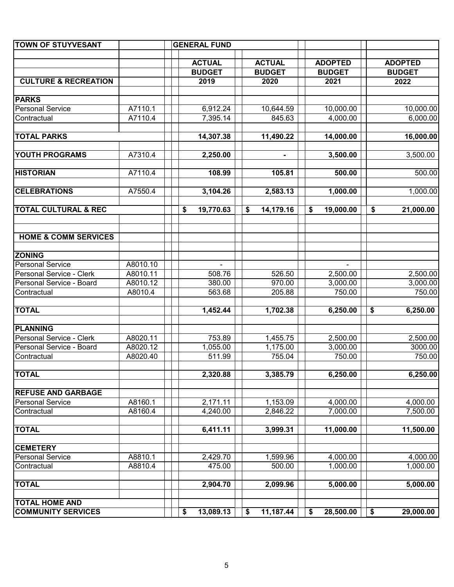| <b>TOWN OF STUYVESANT</b>       |          | <b>GENERAL FUND</b> |                 |                 |                 |
|---------------------------------|----------|---------------------|-----------------|-----------------|-----------------|
|                                 |          |                     |                 |                 |                 |
|                                 |          | <b>ACTUAL</b>       | <b>ACTUAL</b>   | <b>ADOPTED</b>  | <b>ADOPTED</b>  |
|                                 |          | <b>BUDGET</b>       | <b>BUDGET</b>   | <b>BUDGET</b>   | <b>BUDGET</b>   |
| <b>CULTURE &amp; RECREATION</b> |          | 2019                | 2020            | 2021            | 2022            |
| <b>PARKS</b>                    |          |                     |                 |                 |                 |
| Personal Service                | A7110.1  | 6,912.24            | 10,644.59       | 10,000.00       | 10,000.00       |
| Contractual                     | A7110.4  | 7,395.14            | 845.63          | 4,000.00        | 6,000.00        |
|                                 |          |                     |                 |                 |                 |
| <b>TOTAL PARKS</b>              |          | 14,307.38           | 11,490.22       | 14,000.00       | 16,000.00       |
| <b>YOUTH PROGRAMS</b>           | A7310.4  | 2,250.00            |                 | 3,500.00        | 3,500.00        |
| <b>HISTORIAN</b>                | A7110.4  | 108.99              | 105.81          | 500.00          | 500.00          |
|                                 |          |                     |                 |                 |                 |
| <b>CELEBRATIONS</b>             | A7550.4  | 3,104.26            | 2,583.13        | 1,000.00        | 1,000.00        |
| <b>TOTAL CULTURAL &amp; REC</b> |          | \$<br>19,770.63     | \$<br>14,179.16 | \$<br>19,000.00 | \$<br>21,000.00 |
| <b>HOME &amp; COMM SERVICES</b> |          |                     |                 |                 |                 |
| <b>ZONING</b>                   |          |                     |                 |                 |                 |
| Personal Service                | A8010.10 |                     |                 |                 |                 |
| Personal Service - Clerk        | A8010.11 | 508.76              | 526.50          | 2,500.00        | 2,500.00        |
| Personal Service - Board        | A8010.12 | 380.00              | 970.00          | 3,000.00        | 3,000.00        |
| Contractual                     | A8010.4  | 563.68              | 205.88          | 750.00          | 750.00          |
|                                 |          |                     |                 |                 |                 |
| <b>TOTAL</b>                    |          | 1,452.44            | 1,702.38        | 6,250.00        | \$<br>6,250.00  |
| <b>PLANNING</b>                 |          |                     |                 |                 |                 |
| Personal Service - Clerk        | A8020.11 | 753.89              | 1,455.75        | 2,500.00        | 2,500.00        |
| Personal Service - Board        | A8020.12 | 1,055.00            | 1,175.00        | 3,000.00        | 3000.00         |
| Contractual                     | A8020.40 | 511.99              | 755.04          | 750.00          | 750.00          |
| <b>TOTAL</b>                    |          | 2,320.88            | 3,385.79        | 6,250.00        | 6,250.00        |
|                                 |          |                     |                 |                 |                 |
| <b>REFUSE AND GARBAGE</b>       |          |                     |                 |                 |                 |
| Personal Service                | A8160.1  | 2,171.11            | 1,153.09        | 4,000.00        | 4,000.00        |
| Contractual                     | A8160.4  | 4,240.00            | 2,846.22        | 7,000.00        | 7,500.00        |
| <b>TOTAL</b>                    |          | 6,411.11            | 3,999.31        | 11,000.00       | 11,500.00       |
| <b>CEMETERY</b>                 |          |                     |                 |                 |                 |
| <b>Personal Service</b>         | A8810.1  | 2,429.70            | 1,599.96        | 4,000.00        | 4,000.00        |
| Contractual                     | A8810.4  | 475.00              | 500.00          | 1,000.00        | 1,000.00        |
| <b>TOTAL</b>                    |          | 2,904.70            | 2,099.96        | 5,000.00        | 5,000.00        |
| <b>TOTAL HOME AND</b>           |          |                     |                 |                 |                 |
| <b>COMMUNITY SERVICES</b>       |          | \$<br>13,089.13     | \$<br>11,187.44 | \$<br>28,500.00 | \$<br>29,000.00 |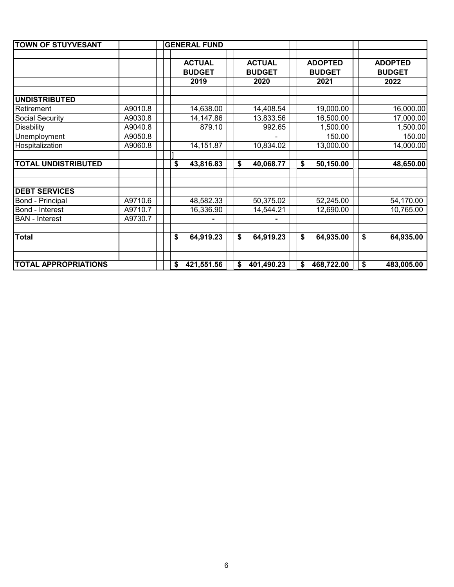| <b>TOWN OF STUYVESANT</b>   |         | <b>GENERAL FUND</b> |                  |                  |                  |
|-----------------------------|---------|---------------------|------------------|------------------|------------------|
|                             |         |                     |                  |                  |                  |
|                             |         | <b>ACTUAL</b>       | <b>ACTUAL</b>    | <b>ADOPTED</b>   | <b>ADOPTED</b>   |
|                             |         | <b>BUDGET</b>       | <b>BUDGET</b>    | <b>BUDGET</b>    | <b>BUDGET</b>    |
|                             |         | 2019                | 2020             | 2021             | 2022             |
|                             |         |                     |                  |                  |                  |
| <b>UNDISTRIBUTED</b>        |         |                     |                  |                  |                  |
| Retirement                  | A9010.8 | 14,638.00           | 14,408.54        | 19,000.00        | 16,000.00        |
| Social Security             | A9030.8 | 14,147.86           | 13,833.56        | 16,500.00        | 17,000.00        |
| <b>Disability</b>           | A9040.8 | 879.10              | 992.65           | 1,500.00         | 1,500.00         |
| Unemployment                | A9050.8 |                     |                  | 150.00           | 150.00           |
| Hospitalization             | A9060.8 | 14,151.87           | 10,834.02        | 13,000.00        | 14,000.00        |
|                             |         |                     |                  |                  |                  |
| <b>TOTAL UNDISTRIBUTED</b>  |         | 43,816.83<br>\$     | \$<br>40,068.77  | \$<br>50,150.00  | 48,650.00        |
|                             |         |                     |                  |                  |                  |
|                             |         |                     |                  |                  |                  |
| <b>DEBT SERVICES</b>        |         |                     |                  |                  |                  |
| Bond - Principal            | A9710.6 | 48,582.33           | 50,375.02        | 52,245.00        | 54,170.00        |
| Bond - Interest             | A9710.7 | 16,336.90           | 14,544.21        | 12,690.00        | 10,765.00        |
| <b>BAN</b> - Interest       | A9730.7 |                     |                  |                  |                  |
|                             |         |                     |                  |                  |                  |
| <b>Total</b>                |         | 64,919.23<br>\$     | \$<br>64,919.23  | \$<br>64,935.00  | \$<br>64,935.00  |
|                             |         |                     |                  |                  |                  |
|                             |         |                     |                  |                  |                  |
| <b>TOTAL APPROPRIATIONS</b> |         | 421,551.56<br>\$    | \$<br>401,490.23 | \$<br>468,722.00 | \$<br>483,005.00 |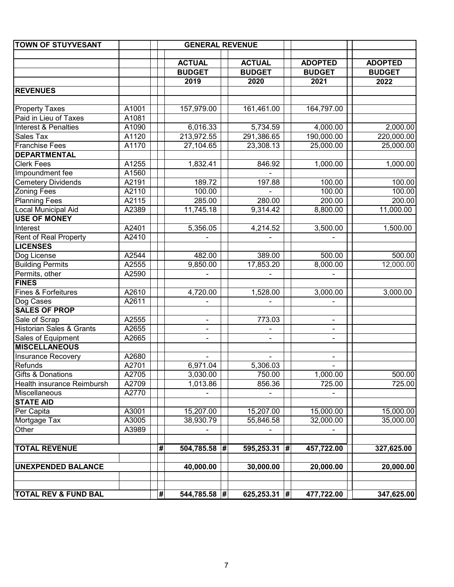| <b>TOWN OF STUYVESANT</b>           |       |                         | <b>GENERAL REVENUE</b> |                       |                          |                       |
|-------------------------------------|-------|-------------------------|------------------------|-----------------------|--------------------------|-----------------------|
|                                     |       |                         |                        |                       |                          |                       |
|                                     |       |                         | <b>ACTUAL</b>          | <b>ACTUAL</b>         | <b>ADOPTED</b>           | <b>ADOPTED</b>        |
|                                     |       |                         | <b>BUDGET</b><br>2019  | <b>BUDGET</b><br>2020 | <b>BUDGET</b><br>2021    | <b>BUDGET</b><br>2022 |
| <b>REVENUES</b>                     |       |                         |                        |                       |                          |                       |
|                                     |       |                         |                        |                       |                          |                       |
| <b>Property Taxes</b>               | A1001 |                         | 157,979.00             | 161,461.00            | 164,797.00               |                       |
| Paid in Lieu of Taxes               | A1081 |                         |                        |                       |                          |                       |
| Interest & Penalties                | A1090 |                         | 6,016.33               | 5,734.59              | 4,000.00                 | 2,000.00              |
| Sales Tax                           | A1120 |                         | 213,972.55             | 291,386.65            | 190,000.00               | 220,000.00            |
| Franchise Fees                      | A1170 |                         | 27,104.65              | 23,308.13             | 25,000.00                | 25,000.00             |
| <b>DEPARTMENTAL</b>                 |       |                         |                        |                       |                          |                       |
| <b>Clerk Fees</b>                   | A1255 |                         | 1,832.41               | 846.92                | 1,000.00                 | 1,000.00              |
| Impoundment fee                     | A1560 |                         |                        |                       |                          |                       |
| <b>Cemetery Dividends</b>           | A2191 |                         | 189.72                 | 197.88                | 100.00                   | 100.00                |
| <b>Zoning Fees</b>                  | A2110 |                         | 100.00                 |                       | 100.00                   | 100.00                |
| <b>Planning Fees</b>                | A2115 |                         | 285.00                 | 280.00                | 200.00                   | 200.00                |
| <b>Local Municipal Aid</b>          | A2389 |                         | 11,745.18              | 9,314.42              | 8,800.00                 | 11,000.00             |
| <b>USE OF MONEY</b>                 |       |                         |                        |                       |                          |                       |
| Interest                            | A2401 |                         | 5,356.05               | 4,214.52              | 3,500.00                 | 1,500.00              |
| <b>Rent of Real Property</b>        | A2410 |                         |                        |                       |                          |                       |
| <b>LICENSES</b>                     |       |                         |                        |                       |                          |                       |
| Dog License                         | A2544 |                         | 482.00                 | 389.00                | 500.00                   | 500.00                |
| <b>Building Permits</b>             | A2555 |                         | 9,850.00               | 17,853.20             | 8,000.00                 | 12,000.00             |
| Permits, other                      | A2590 |                         |                        |                       |                          |                       |
| <b>FINES</b>                        |       |                         |                        |                       |                          |                       |
| Fines & Forfeitures                 | A2610 |                         | 4,720.00               | 1,528.00              | 3,000.00                 | 3,000.00              |
| Dog Cases                           | A2611 |                         |                        |                       |                          |                       |
| <b>SALES OF PROP</b>                |       |                         |                        |                       |                          |                       |
| Sale of Scrap                       | A2555 |                         |                        | 773.03                | ۰                        |                       |
| <b>Historian Sales &amp; Grants</b> | A2655 |                         |                        |                       | ۰                        |                       |
| Sales of Equipment                  | A2665 |                         | $\blacksquare$         | $\blacksquare$        | $\frac{1}{2}$            |                       |
| <b>MISCELLANEOUS</b>                |       |                         |                        |                       |                          |                       |
| Insurance Recovery                  | A2680 |                         |                        |                       | $\overline{\phantom{a}}$ |                       |
| Refunds                             | A2701 |                         | 6,971.04               | 5,306.03              | $\blacksquare$           |                       |
| <b>Gifts &amp; Donations</b>        | A2705 |                         | 3,030.00               | 750.00                | 1,000.00                 | 500.00                |
| Health insurance Reimbursh          | A2709 |                         | 1,013.86               | 856.36                | 725.00                   | 725.00                |
| Miscellaneous                       | A2770 |                         |                        |                       |                          |                       |
| <b>STATE AID</b>                    |       |                         |                        |                       |                          |                       |
| Per Capita                          | A3001 |                         | 15,207.00              | 15,207.00             | 15,000.00                | 15,000.00             |
| Mortgage Tax                        | A3005 |                         | 38,930.79              | 55,846.58             | 32,000.00                | 35,000.00             |
| Other                               | A3989 |                         |                        |                       |                          |                       |
| <b>TOTAL REVENUE</b>                |       | #                       | $504,785.58$ #         | $595,253.31$ #        | 457,722.00               | 327,625.00            |
|                                     |       |                         |                        |                       |                          |                       |
| <b>UNEXPENDED BALANCE</b>           |       |                         | 40,000.00              | 30,000.00             | 20,000.00                | 20,000.00             |
| <b>TOTAL REV &amp; FUND BAL</b>     |       | $\overline{\mathbf{r}}$ | 544,785.58 #           | 625,253.31 #          | 477,722.00               | 347,625.00            |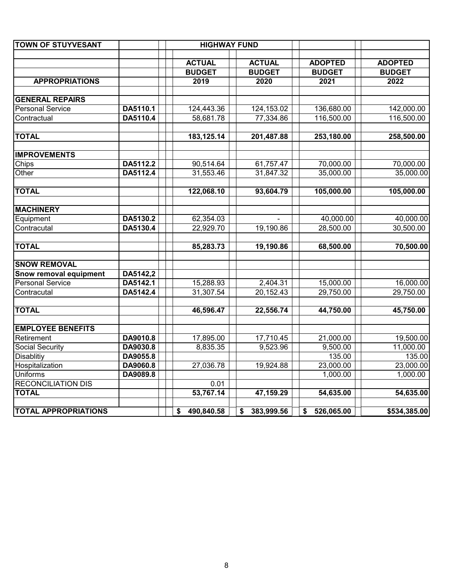| <b>TOWN OF STUYVESANT</b>   |          | <b>HIGHWAY FUND</b> |                  |                  |                |
|-----------------------------|----------|---------------------|------------------|------------------|----------------|
|                             |          |                     |                  |                  |                |
|                             |          | <b>ACTUAL</b>       | <b>ACTUAL</b>    | <b>ADOPTED</b>   | <b>ADOPTED</b> |
|                             |          | <b>BUDGET</b>       | <b>BUDGET</b>    | <b>BUDGET</b>    | <b>BUDGET</b>  |
| <b>APPROPRIATIONS</b>       |          | 2019                | 2020             | 2021             | 2022           |
| <b>GENERAL REPAIRS</b>      |          |                     |                  |                  |                |
| <b>Personal Service</b>     | DA5110.1 | 124,443.36          | 124,153.02       | 136,680.00       | 142,000.00     |
| Contractual                 | DA5110.4 | 58,681.78           | 77,334.86        | 116,500.00       | 116,500.00     |
| <b>TOTAL</b>                |          | 183,125.14          | 201,487.88       | 253,180.00       | 258,500.00     |
|                             |          |                     |                  |                  |                |
| <b>IMPROVEMENTS</b>         |          |                     |                  |                  |                |
| Chips                       | DA5112.2 | 90,514.64           | 61,757.47        | 70,000.00        | 70,000.00      |
| Other                       | DA5112.4 | 31,553.46           | 31,847.32        | 35,000.00        | 35,000.00      |
| <b>TOTAL</b>                |          | 122,068.10          | 93,604.79        | 105,000.00       | 105,000.00     |
| <b>MACHINERY</b>            |          |                     |                  |                  |                |
| Equipment                   | DA5130.2 | 62,354.03           |                  | 40,000.00        | 40,000.00      |
| Contracutal                 | DA5130.4 | 22,929.70           | 19,190.86        | 28,500.00        | 30,500.00      |
| <b>TOTAL</b>                |          | 85,283.73           | 19,190.86        | 68,500.00        | 70,500.00      |
|                             |          |                     |                  |                  |                |
| <b>SNOW REMOVAL</b>         |          |                     |                  |                  |                |
| Snow removal equipment      | DA5142,2 |                     |                  |                  |                |
| <b>Personal Service</b>     | DA5142.1 | 15,288.93           | 2,404.31         | 15,000.00        | 16,000.00      |
| Contracutal                 | DA5142.4 | 31,307.54           | 20,152.43        | 29,750.00        | 29,750.00      |
| <b>TOTAL</b>                |          | 46,596.47           | 22,556.74        | 44,750.00        | 45,750.00      |
| <b>EMPLOYEE BENEFITS</b>    |          |                     |                  |                  |                |
| Retirement                  | DA9010.8 | 17,895.00           | 17,710.45        | 21,000.00        | 19,500.00      |
| Social Security             | DA9030.8 | 8,835.35            | 9,523.96         | 9,500.00         | 11,000.00      |
| Disablitiy                  | DA9055.8 |                     |                  | 135.00           | 135.00         |
| Hospitalization             | DA9060.8 | 27,036.78           | 19,924.88        | 23,000.00        | 23,000.00      |
| <b>Uniforms</b>             | DA9089.8 |                     |                  | 1,000.00         | 1,000.00       |
| <b>RECONCILIATION DIS</b>   |          | 0.01                |                  |                  |                |
| <b>TOTAL</b>                |          | 53,767.14           | 47,159.29        | 54,635.00        | 54,635.00      |
| <b>TOTAL APPROPRIATIONS</b> |          | \$490,840.58        | 383,999.56<br>\$ | 526,065.00<br>\$ | \$534,385.00   |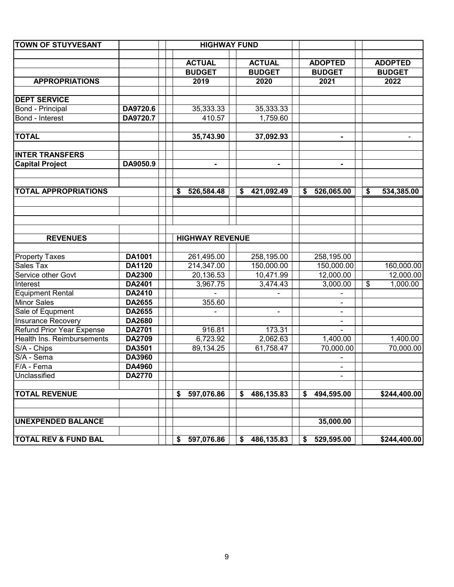| <b>TOWN OF STUYVESANT</b>       |               | <b>HIGHWAY FUND</b>    |                  |                  |                  |
|---------------------------------|---------------|------------------------|------------------|------------------|------------------|
|                                 |               |                        |                  |                  |                  |
|                                 |               | <b>ACTUAL</b>          | <b>ACTUAL</b>    | <b>ADOPTED</b>   | <b>ADOPTED</b>   |
|                                 |               | <b>BUDGET</b>          | <b>BUDGET</b>    | <b>BUDGET</b>    | <b>BUDGET</b>    |
| <b>APPROPRIATIONS</b>           |               | 2019                   | 2020             | 2021             | 2022             |
| <b>DEPT SERVICE</b>             |               |                        |                  |                  |                  |
| Bond - Principal                | DA9720.6      | 35,333.33              | 35,333.33        |                  |                  |
| Bond - Interest                 | DA9720.7      | 410.57                 | 1,759.60         |                  |                  |
|                                 |               |                        |                  |                  |                  |
| <b>TOTAL</b>                    |               | 35,743.90              | 37,092.93        |                  |                  |
| <b>INTER TRANSFERS</b>          |               |                        |                  |                  |                  |
| <b>Capital Project</b>          | DA9050.9      |                        | $\blacksquare$   |                  |                  |
|                                 |               |                        |                  |                  |                  |
| <b>TOTAL APPROPRIATIONS</b>     |               | 526,584.48<br>\$       | 421,092.49<br>\$ | 526,065.00<br>\$ | \$<br>534,385.00 |
|                                 |               |                        |                  |                  |                  |
| <b>REVENUES</b>                 |               | <b>HIGHWAY REVENUE</b> |                  |                  |                  |
| <b>Property Taxes</b>           | <b>DA1001</b> | 261,495.00             | 258,195.00       | 258,195.00       |                  |
| Sales Tax                       | <b>DA1120</b> | 214,347.00             | 150,000.00       | 150,000.00       | 160,000.00       |
| Service other Govt              | DA2300        | 20,136.53              | 10,471.99        | 12,000.00        | 12,000.00        |
| Interest                        | DA2401        | 3,967.75               | 3,474.43         | 3,000.00         | 1,000.00<br>\$   |
| <b>Equipment Rental</b>         | DA2410        |                        |                  |                  |                  |
| <b>Minor Sales</b>              | DA2655        | 355.60                 |                  |                  |                  |
| Sale of Equpment                | DA2655        |                        | $\blacksquare$   |                  |                  |
| <b>Insurance Recovery</b>       | DA2680        |                        |                  | $\blacksquare$   |                  |
| Refund Prior Year Expense       | DA2701        | 916.81                 | 173.31           |                  |                  |
| Health Ins. Reimbursements      | DA2709        | 6,723.92               | 2,062.63         | 1,400.00         | 1,400.00         |
| S/A - Chips                     | DA3501        | 89,134.25              | 61,758.47        | 70,000.00        | 70,000.00        |
| S/A - Sema                      | DA3960        |                        |                  |                  |                  |
| F/A - Fema                      | DA4960        |                        |                  |                  |                  |
| Unclassified                    | <b>DA2770</b> |                        |                  |                  |                  |
| <b>TOTAL REVENUE</b>            |               | 597,076.86<br>\$       | 486,135.83<br>\$ | 494,595.00<br>S  | \$244,400.00     |
| <b>UNEXPENDED BALANCE</b>       |               |                        |                  | 35,000.00        |                  |
| <b>TOTAL REV &amp; FUND BAL</b> |               | 597,076.86<br>\$       | 486,135.83<br>\$ | 529,595.00<br>\$ | \$244,400.00     |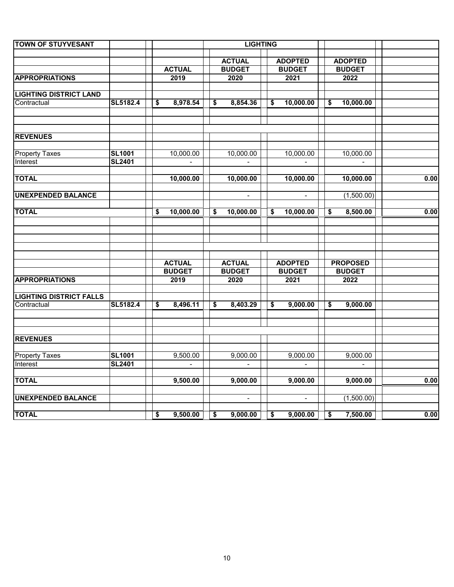| <b>TOWN OF STUYVESANT</b>         |                                |                            | <b>LIGHTING</b>                |                 |                                      |                                      |                                      |      |
|-----------------------------------|--------------------------------|----------------------------|--------------------------------|-----------------|--------------------------------------|--------------------------------------|--------------------------------------|------|
|                                   |                                | <b>ACTUAL</b>              | <b>ACTUAL</b><br><b>BUDGET</b> |                 | <b>ADOPTED</b><br><b>BUDGET</b>      |                                      | <b>ADOPTED</b><br><b>BUDGET</b>      |      |
| <b>APPROPRIATIONS</b>             |                                | 2019                       | 2020                           |                 | 2021                                 |                                      | 2022                                 |      |
| <b>LIGHTING DISTRICT LAND</b>     |                                |                            |                                |                 |                                      |                                      |                                      |      |
| Contractual                       | SL5182.4                       | \$<br>8,978.54             | \$<br>8,854.36                 | \$              | 10,000.00                            | \$                                   | 10,000.00                            |      |
| <b>REVENUES</b>                   |                                |                            |                                |                 |                                      |                                      |                                      |      |
| <b>Property Taxes</b>             | <b>SL1001</b>                  | 10,000.00                  | 10,000.00                      |                 | 10,000.00                            |                                      | 10,000.00                            |      |
| Interest                          | <b>SL2401</b>                  | $\blacksquare$             | $\blacksquare$                 |                 | $\blacksquare$                       |                                      | $\overline{\phantom{a}}$             |      |
| <b>TOTAL</b>                      |                                | 10,000.00                  | 10,000.00                      |                 | 10,000.00                            |                                      | 10,000.00                            | 0.00 |
| <b>UNEXPENDED BALANCE</b>         |                                |                            |                                |                 |                                      |                                      | (1,500.00)                           |      |
| <b>TOTAL</b>                      |                                | \$<br>10,000.00            | \$<br>10,000.00                | \$              | 10,000.00                            | \$                                   | 8,500.00                             | 0.00 |
|                                   |                                |                            |                                |                 |                                      |                                      |                                      |      |
|                                   |                                | <b>ACTUAL</b>              | <b>ACTUAL</b>                  |                 | <b>ADOPTED</b>                       |                                      | <b>PROPOSED</b>                      |      |
| <b>APPROPRIATIONS</b>             |                                | <b>BUDGET</b><br>2019      | <b>BUDGET</b><br>2020          |                 | <b>BUDGET</b><br>2021                |                                      | <b>BUDGET</b><br>2022                |      |
| <b>LIGHTING DISTRICT FALLS</b>    |                                |                            |                                |                 |                                      |                                      |                                      |      |
| Contractual                       | SL5182.4                       | \$<br>8,496.11             | \$<br>8,403.29                 | \$              | 9,000.00                             | \$                                   | 9,000.00                             |      |
| <b>REVENUES</b>                   |                                |                            |                                |                 |                                      |                                      |                                      |      |
|                                   |                                |                            |                                |                 |                                      |                                      |                                      |      |
| <b>Property Taxes</b><br>Interest | <b>SL1001</b><br><b>SL2401</b> | 9,500.00<br>$\blacksquare$ | 9,000.00                       |                 | 9,000.00<br>$\overline{\phantom{a}}$ |                                      | 9,000.00<br>$\overline{\phantom{a}}$ |      |
|                                   |                                |                            |                                |                 |                                      |                                      |                                      |      |
| <b>TOTAL</b>                      |                                | 9,500.00                   | 9,000.00                       |                 | 9,000.00                             |                                      | 9,000.00                             | 0.00 |
| <b>UNEXPENDED BALANCE</b>         |                                |                            | $\blacksquare$                 |                 | $\blacksquare$                       |                                      | (1,500.00)                           |      |
| <b>TOTAL</b>                      |                                | \$<br>9,500.00             | \$<br>9,000.00                 | $\overline{\$}$ | 9,000.00                             | $\overline{\boldsymbol{\mathsf{s}}}$ | 7,500.00                             | 0.00 |